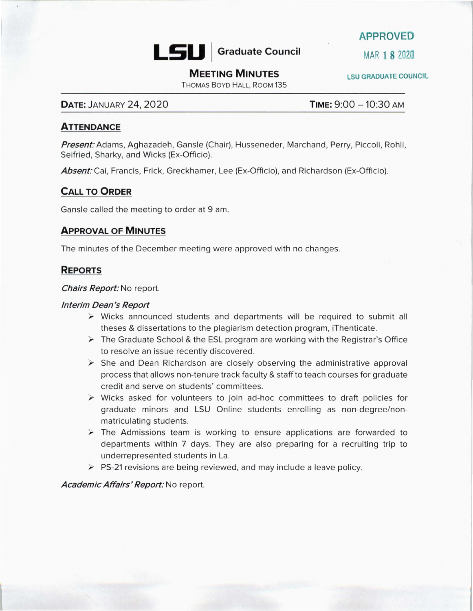

**APPROVED** 

# **MEETING MINUTES** ESU GRADUATE COUNCIL

THOMAS BOYD HALL, ROOM 135

# **DATE:** JANUARY 24, 2020 **TIME:**  $9:00 - 10:30$  am

#### **ATTENDANCE**

**Present:** Adams, Aghazadeh, Gansle (Chair), Husseneder, Marchand, Perry, Piccoli, Rohli, Seifried, Sharky, and Wicks (Ex-Officio).

Absent: Cai, Francis, Frick, Greckhamer, Lee (Ex-Officio), and Richardson (Ex-Officio).

# **CALL TO ORDER**

Gansle called the meeting to order at 9 am.

#### **APPROVAL OF MINUTES**

The minutes of the December meeting were approved with no changes.

#### **REPORTS**

**Chairs Report:** No report.

#### **Interim Dean's Report**

- $\triangleright$  Wicks announced students and departments will be required to submit all theses & dissertations to the plagiarism detection program, iThenticate.
- $\triangleright$  The Graduate School & the ESL program are working with the Registrar's Office to resolve an issue recently discovered.
- $\triangleright$  She and Dean Richardson are closely observing the administrative approval process that allows non-tenure track faculty & staff to teach courses for graduate credit and serve on students' committees.
- $\triangleright$  Wicks asked for volunteers to join ad-hoc committees to draft policies for graduate minors and LSU Online students enrolling as non-degree/nonmatriculating students.
- $\triangleright$  The Admissions team is working to ensure applications are forwarded to departments within 7 days. They are also preparing for a recruiting trip to underrepresented students in La.
- $\triangleright$  PS-21 revisions are being reviewed, and may include a leave policy.

**Academic Affairs' Report:** No report.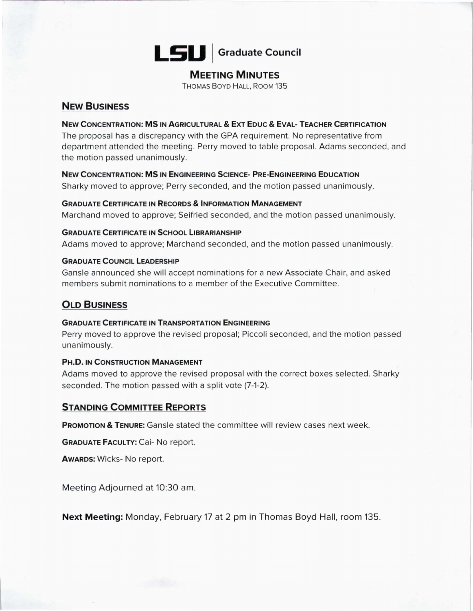# **LSU** Graduate Council

# **MEETING MINUTES**

THOMAS BOYD HALL, ROOM 135

# **NEW BUSINESS**

#### **NEW CONCENTRATION: MS IN AGRICULTURAL & EXT EDUC & EVAL- TEACHER CERTIFICATION**

The proposal has a discrepancy with the GPA requirement. No representative from department attended the meeting. Perry moved to table proposal. Adams seconded, and the motion passed unanimously.

**New CONCENTRATION: MS IN ENGINEERING SCIENCE- PRE-ENGINEERING EDUCATION**  Sharky moved to approve; Perry seconded, and the motion passed unanimously.

#### **GRADUATE CERTIFICATE IN RECORDS & INFORMATION MANAGEMENT**

Marchand moved to approve; Seifried seconded, and the motion passed unanimously.

#### **GRADUATE CERTIFICATE IN SCHOOL LIBRARIANSHIP**

Adams moved to approve; Marchand seconded, and the motion passed unanimously.

#### **GRADUATE COUNCIL LEADERSHIP**

Gansle announced she will accept nominations for a new Associate Chair, and asked members submit nominations to a member of the Executive Committee.

# **OLD BUSINESS**

#### **GRADUATE CERTIFICATE IN TRANSPORTATION ENGINEERING**

Perry moved to approve the revised proposal; Piccoli seconded, and the motion passed unanimously.

#### **PH.D. IN CONSTRUCTION MANAGEMENT**

Adams moved to approve the revised proposal with the correct boxes selected. Sharky seconded. The motion passed with a split vote (7-1-2).

# **STANDING COMMITTEE REPORTS**

**PROMOTION & TENURE:** Gansle stated the committee will review cases next week.

**GRADUATE FACULTY: Cai- No report.** 

**AWARDS:** Wicks- No report.

Meeting Adjourned at 10:30 am.

**Next Meeting:** Monday, February 17 at 2 pm in Thomas Boyd Hall, room 135.